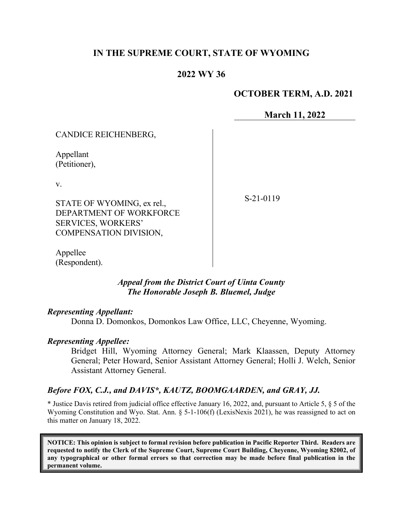## **IN THE SUPREME COURT, STATE OF WYOMING**

## **2022 WY 36**

## **OCTOBER TERM, A.D. 2021**

**March 11, 2022**

| CANDICE REICHENBERG,                                                                                               |           |
|--------------------------------------------------------------------------------------------------------------------|-----------|
| Appellant<br>(Petitioner),                                                                                         |           |
| V.<br>STATE OF WYOMING, ex rel.,<br>DEPARTMENT OF WORKFORCE<br><b>SERVICES, WORKERS'</b><br>COMPENSATION DIVISION, | S-21-0119 |

Appellee (Respondent).

> *Appeal from the District Court of Uinta County The Honorable Joseph B. Bluemel, Judge*

### *Representing Appellant:*

Donna D. Domonkos, Domonkos Law Office, LLC, Cheyenne, Wyoming.

### *Representing Appellee:*

Bridget Hill, Wyoming Attorney General; Mark Klaassen, Deputy Attorney General; Peter Howard, Senior Assistant Attorney General; Holli J. Welch, Senior Assistant Attorney General.

## *Before FOX, C.J., and DAVIS\*, KAUTZ, BOOMGAARDEN, and GRAY, JJ.*

\* Justice Davis retired from judicial office effective January 16, 2022, and, pursuant to Article 5, § 5 of the Wyoming Constitution and Wyo. Stat. Ann. § 5-1-106(f) (LexisNexis 2021), he was reassigned to act on this matter on January 18, 2022.

**NOTICE: This opinion is subject to formal revision before publication in Pacific Reporter Third. Readers are requested to notify the Clerk of the Supreme Court, Supreme Court Building, Cheyenne, Wyoming 82002, of any typographical or other formal errors so that correction may be made before final publication in the permanent volume.**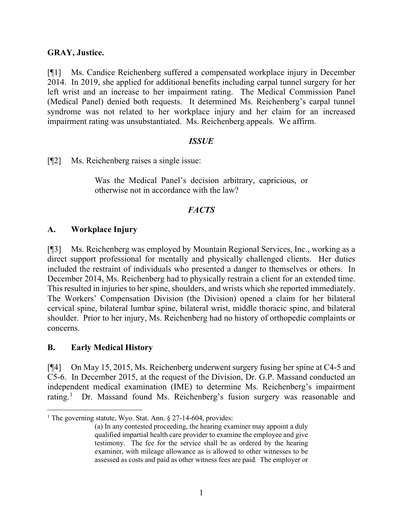### **GRAY, Justice.**

[¶1] Ms. Candice Reichenberg suffered a compensated workplace injury in December 2014. In 2019, she applied for additional benefits including carpal tunnel surgery for her left wrist and an increase to her impairment rating. The Medical Commission Panel (Medical Panel) denied both requests. It determined Ms. Reichenberg's carpal tunnel syndrome was not related to her workplace injury and her claim for an increased impairment rating was unsubstantiated. Ms. Reichenberg appeals. We affirm.

### *ISSUE*

[¶2] Ms. Reichenberg raises a single issue:

Was the Medical Panel's decision arbitrary, capricious, or otherwise not in accordance with the law?

## *FACTS*

## **A. Workplace Injury**

[¶3] Ms. Reichenberg was employed by Mountain Regional Services, Inc., working as a direct support professional for mentally and physically challenged clients. Her duties included the restraint of individuals who presented a danger to themselves or others. In December 2014, Ms. Reichenberg had to physically restrain a client for an extended time. This resulted in injuries to her spine, shoulders, and wrists which she reported immediately. The Workers' Compensation Division (the Division) opened a claim for her bilateral cervical spine, bilateral lumbar spine, bilateral wrist, middle thoracic spine, and bilateral shoulder. Prior to her injury, Ms. Reichenberg had no history of orthopedic complaints or concerns.

## **B. Early Medical History**

[¶4] On May 15, 2015, Ms. Reichenberg underwent surgery fusing her spine at C4-5 and C5-6. In December 2015, at the request of the Division, Dr. G.P. Massand conducted an independent medical examination (IME) to determine Ms. Reichenberg's impairment rating.<sup>[1](#page-1-0)</sup> Dr. Massand found Ms. Reichenberg's fusion surgery was reasonable and

<span id="page-1-0"></span><sup>&</sup>lt;sup>1</sup> The governing statute, Wyo. Stat. Ann.  $\S 27$ -14-604, provides:

<sup>(</sup>a) In any contested proceeding, the hearing examiner may appoint a duly qualified impartial health care provider to examine the employee and give testimony. The fee for the service shall be as ordered by the hearing examiner, with mileage allowance as is allowed to other witnesses to be assessed as costs and paid as other witness fees are paid. The employer or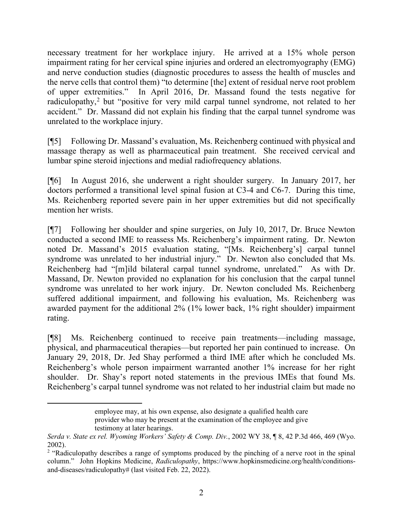necessary treatment for her workplace injury. He arrived at a 15% whole person impairment rating for her cervical spine injuries and ordered an electromyography (EMG) and nerve conduction studies (diagnostic procedures to assess the health of muscles and the nerve cells that control them) "to determine [the] extent of residual nerve root problem of upper extremities." In April 2016, Dr. Massand found the tests negative for radiculopathy,<sup>[2](#page-2-0)</sup> but "positive for very mild carpal tunnel syndrome, not related to her accident." Dr. Massand did not explain his finding that the carpal tunnel syndrome was unrelated to the workplace injury.

[¶5] Following Dr. Massand's evaluation, Ms. Reichenberg continued with physical and massage therapy as well as pharmaceutical pain treatment. She received cervical and lumbar spine steroid injections and medial radiofrequency ablations.

[¶6] In August 2016, she underwent a right shoulder surgery. In January 2017, her doctors performed a transitional level spinal fusion at C3-4 and C6-7. During this time, Ms. Reichenberg reported severe pain in her upper extremities but did not specifically mention her wrists.

[¶7] Following her shoulder and spine surgeries, on July 10, 2017, Dr. Bruce Newton conducted a second IME to reassess Ms. Reichenberg's impairment rating. Dr. Newton noted Dr. Massand's 2015 evaluation stating, "[Ms. Reichenberg's] carpal tunnel syndrome was unrelated to her industrial injury." Dr. Newton also concluded that Ms. Reichenberg had "[m]ild bilateral carpal tunnel syndrome, unrelated." As with Dr. Massand, Dr. Newton provided no explanation for his conclusion that the carpal tunnel syndrome was unrelated to her work injury. Dr. Newton concluded Ms. Reichenberg suffered additional impairment, and following his evaluation, Ms. Reichenberg was awarded payment for the additional 2% (1% lower back, 1% right shoulder) impairment rating.

[¶8] Ms. Reichenberg continued to receive pain treatments—including massage, physical, and pharmaceutical therapies—but reported her pain continued to increase. On January 29, 2018, Dr. Jed Shay performed a third IME after which he concluded Ms. Reichenberg's whole person impairment warranted another 1% increase for her right shoulder. Dr. Shay's report noted statements in the previous IMEs that found Ms. Reichenberg's carpal tunnel syndrome was not related to her industrial claim but made no

employee may, at his own expense, also designate a qualified health care provider who may be present at the examination of the employee and give testimony at later hearings.

*Serda v. State ex rel. Wyoming Workers' Safety & Comp. Div.*, 2002 WY 38, ¶ 8, 42 P.3d 466, 469 (Wyo. 2002).

<span id="page-2-0"></span><sup>&</sup>lt;sup>2</sup> "Radiculopathy describes a range of symptoms produced by the pinching of a nerve root in the spinal column." John Hopkins Medicine, *Radiculopathy*, https://www.hopkinsmedicine.org/health/conditionsand-diseases/radiculopathy# (last visited Feb. 22, 2022).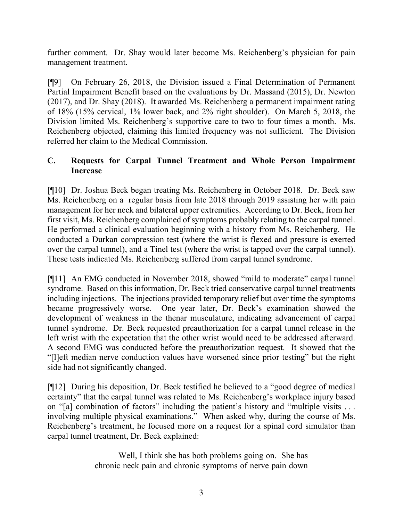further comment. Dr. Shay would later become Ms. Reichenberg's physician for pain management treatment.

[¶9] On February 26, 2018, the Division issued a Final Determination of Permanent Partial Impairment Benefit based on the evaluations by Dr. Massand (2015), Dr. Newton (2017), and Dr. Shay (2018). It awarded Ms. Reichenberg a permanent impairment rating of 18% (15% cervical, 1% lower back, and 2% right shoulder). On March 5, 2018, the Division limited Ms. Reichenberg's supportive care to two to four times a month. Ms. Reichenberg objected, claiming this limited frequency was not sufficient. The Division referred her claim to the Medical Commission.

## **C. Requests for Carpal Tunnel Treatment and Whole Person Impairment Increase**

[¶10] Dr. Joshua Beck began treating Ms. Reichenberg in October 2018. Dr. Beck saw Ms. Reichenberg on a regular basis from late 2018 through 2019 assisting her with pain management for her neck and bilateral upper extremities. According to Dr. Beck, from her first visit, Ms. Reichenberg complained of symptoms probably relating to the carpal tunnel. He performed a clinical evaluation beginning with a history from Ms. Reichenberg. He conducted a Durkan compression test (where the wrist is flexed and pressure is exerted over the carpal tunnel), and a Tinel test (where the wrist is tapped over the carpal tunnel). These tests indicated Ms. Reichenberg suffered from carpal tunnel syndrome.

[¶11] An EMG conducted in November 2018, showed "mild to moderate" carpal tunnel syndrome. Based on this information, Dr. Beck tried conservative carpal tunnel treatments including injections. The injections provided temporary relief but over time the symptoms became progressively worse. One year later, Dr. Beck's examination showed the development of weakness in the thenar musculature, indicating advancement of carpal tunnel syndrome. Dr. Beck requested preauthorization for a carpal tunnel release in the left wrist with the expectation that the other wrist would need to be addressed afterward. A second EMG was conducted before the preauthorization request. It showed that the "[l]eft median nerve conduction values have worsened since prior testing" but the right side had not significantly changed.

[¶12] During his deposition, Dr. Beck testified he believed to a "good degree of medical certainty" that the carpal tunnel was related to Ms. Reichenberg's workplace injury based on "[a] combination of factors" including the patient's history and "multiple visits ... involving multiple physical examinations." When asked why, during the course of Ms. Reichenberg's treatment, he focused more on a request for a spinal cord simulator than carpal tunnel treatment, Dr. Beck explained:

> Well, I think she has both problems going on. She has chronic neck pain and chronic symptoms of nerve pain down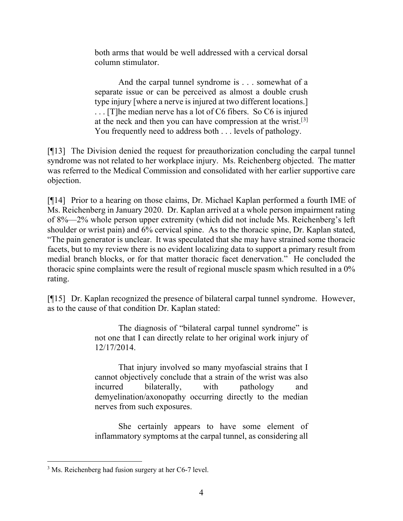both arms that would be well addressed with a cervical dorsal column stimulator.

And the carpal tunnel syndrome is . . . somewhat of a separate issue or can be perceived as almost a double crush type injury [where a nerve is injured at two different locations.] . . . [T]he median nerve has a lot of C6 fibers. So C6 is injured at the neck and then you can have compression at the wrist.<sup>[[3](#page-4-0)]</sup> You frequently need to address both . . . levels of pathology.

[¶13] The Division denied the request for preauthorization concluding the carpal tunnel syndrome was not related to her workplace injury. Ms. Reichenberg objected. The matter was referred to the Medical Commission and consolidated with her earlier supportive care objection.

[¶14] Prior to a hearing on those claims, Dr. Michael Kaplan performed a fourth IME of Ms. Reichenberg in January 2020. Dr. Kaplan arrived at a whole person impairment rating of 8%—2% whole person upper extremity (which did not include Ms. Reichenberg's left shoulder or wrist pain) and 6% cervical spine. As to the thoracic spine, Dr. Kaplan stated, "The pain generator is unclear. It was speculated that she may have strained some thoracic facets, but to my review there is no evident localizing data to support a primary result from medial branch blocks, or for that matter thoracic facet denervation." He concluded the thoracic spine complaints were the result of regional muscle spasm which resulted in a 0% rating.

[¶15] Dr. Kaplan recognized the presence of bilateral carpal tunnel syndrome. However, as to the cause of that condition Dr. Kaplan stated:

> The diagnosis of "bilateral carpal tunnel syndrome" is not one that I can directly relate to her original work injury of 12/17/2014.

> That injury involved so many myofascial strains that I cannot objectively conclude that a strain of the wrist was also incurred bilaterally, with pathology and demyelination/axonopathy occurring directly to the median nerves from such exposures.

> She certainly appears to have some element of inflammatory symptoms at the carpal tunnel, as considering all

<span id="page-4-0"></span><sup>&</sup>lt;sup>3</sup> Ms. Reichenberg had fusion surgery at her C6-7 level.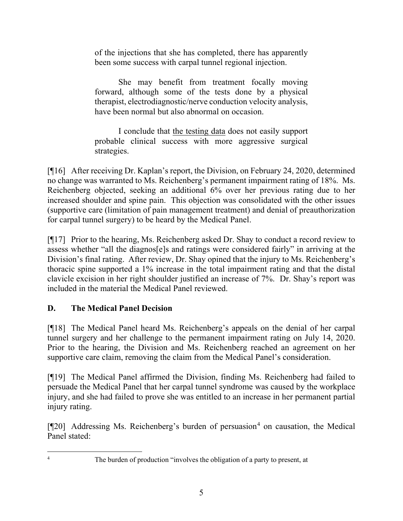of the injections that she has completed, there has apparently been some success with carpal tunnel regional injection.

She may benefit from treatment focally moving forward, although some of the tests done by a physical therapist, electrodiagnostic/nerve conduction velocity analysis, have been normal but also abnormal on occasion.

I conclude that the testing data does not easily support probable clinical success with more aggressive surgical strategies.

[¶16] After receiving Dr. Kaplan's report, the Division, on February 24, 2020, determined no change was warranted to Ms. Reichenberg's permanent impairment rating of 18%. Ms. Reichenberg objected, seeking an additional 6% over her previous rating due to her increased shoulder and spine pain. This objection was consolidated with the other issues (supportive care (limitation of pain management treatment) and denial of preauthorization for carpal tunnel surgery) to be heard by the Medical Panel.

[¶17] Prior to the hearing, Ms. Reichenberg asked Dr. Shay to conduct a record review to assess whether "all the diagnos[e]s and ratings were considered fairly" in arriving at the Division's final rating. After review, Dr. Shay opined that the injury to Ms. Reichenberg's thoracic spine supported a 1% increase in the total impairment rating and that the distal clavicle excision in her right shoulder justified an increase of 7%. Dr. Shay's report was included in the material the Medical Panel reviewed.

# **D. The Medical Panel Decision**

[¶18] The Medical Panel heard Ms. Reichenberg's appeals on the denial of her carpal tunnel surgery and her challenge to the permanent impairment rating on July 14, 2020. Prior to the hearing, the Division and Ms. Reichenberg reached an agreement on her supportive care claim, removing the claim from the Medical Panel's consideration.

[¶19] The Medical Panel affirmed the Division, finding Ms. Reichenberg had failed to persuade the Medical Panel that her carpal tunnel syndrome was caused by the workplace injury, and she had failed to prove she was entitled to an increase in her permanent partial injury rating.

 $[$ [[20] Addressing Ms. Reichenberg's burden of persuasion<sup>[4](#page-5-0)</sup> on causation, the Medical Panel stated:

<span id="page-5-0"></span><sup>&</sup>lt;sup>4</sup> The burden of production "involves the obligation of a party to present, at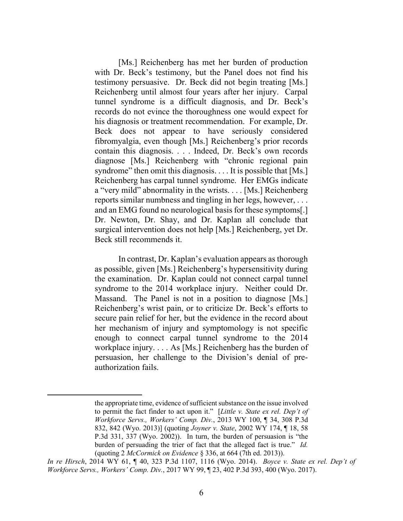[Ms.] Reichenberg has met her burden of production with Dr. Beck's testimony, but the Panel does not find his testimony persuasive. Dr. Beck did not begin treating [Ms.] Reichenberg until almost four years after her injury. Carpal tunnel syndrome is a difficult diagnosis, and Dr. Beck's records do not evince the thoroughness one would expect for his diagnosis or treatment recommendation. For example, Dr. Beck does not appear to have seriously considered fibromyalgia, even though [Ms.] Reichenberg's prior records contain this diagnosis. . . . Indeed, Dr. Beck's own records diagnose [Ms.] Reichenberg with "chronic regional pain syndrome" then omit this diagnosis. . . . It is possible that [Ms.] Reichenberg has carpal tunnel syndrome. Her EMGs indicate a "very mild" abnormality in the wrists. . . . [Ms.] Reichenberg reports similar numbness and tingling in her legs, however, . . . and an EMG found no neurological basis for these symptoms[.] Dr. Newton, Dr. Shay, and Dr. Kaplan all conclude that surgical intervention does not help [Ms.] Reichenberg, yet Dr. Beck still recommends it.

In contrast, Dr. Kaplan's evaluation appears as thorough as possible, given [Ms.] Reichenberg's hypersensitivity during the examination. Dr. Kaplan could not connect carpal tunnel syndrome to the 2014 workplace injury. Neither could Dr. Massand. The Panel is not in a position to diagnose [Ms.] Reichenberg's wrist pain, or to criticize Dr. Beck's efforts to secure pain relief for her, but the evidence in the record about her mechanism of injury and symptomology is not specific enough to connect carpal tunnel syndrome to the 2014 workplace injury. . . . As [Ms.] Reichenberg has the burden of persuasion, her challenge to the Division's denial of preauthorization fails.

the appropriate time, evidence of sufficient substance on the issue involved to permit the fact finder to act upon it." [*Little v. State ex rel. Dep't of Workforce Servs., Workers' Comp. Div.*, 2013 WY 100, ¶ 34, 308 P.3d 832, 842 (Wyo. 2013)] (quoting *Joyner v. State*, 2002 WY 174, ¶ 18, 58 P.3d 331, 337 (Wyo. 2002)). In turn, the burden of persuasion is "the burden of persuading the trier of fact that the alleged fact is true." *Id.* (quoting 2 *McCormick on Evidence* § 336, at 664 (7th ed. 2013)).

*In re Hirsch*, 2014 WY 61, ¶ 40, 323 P.3d 1107, 1116 (Wyo. 2014). *Boyce v. State ex rel. Dep't of Workforce Servs., Workers' Comp. Div.*, 2017 WY 99, ¶ 23, 402 P.3d 393, 400 (Wyo. 2017).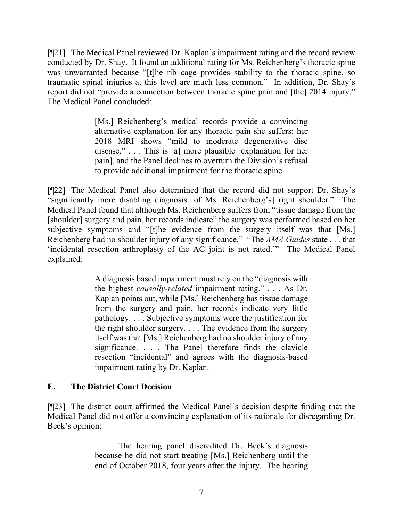[¶21] The Medical Panel reviewed Dr. Kaplan's impairment rating and the record review conducted by Dr. Shay. It found an additional rating for Ms. Reichenberg's thoracic spine was unwarranted because "[t]he rib cage provides stability to the thoracic spine, so traumatic spinal injuries at this level are much less common." In addition, Dr. Shay's report did not "provide a connection between thoracic spine pain and [the] 2014 injury." The Medical Panel concluded:

> [Ms.] Reichenberg's medical records provide a convincing alternative explanation for any thoracic pain she suffers: her 2018 MRI shows "mild to moderate degenerative disc disease." . . . This is [a] more plausible [explanation for her pain], and the Panel declines to overturn the Division's refusal to provide additional impairment for the thoracic spine.

[¶22] The Medical Panel also determined that the record did not support Dr. Shay's "significantly more disabling diagnosis [of Ms. Reichenberg's] right shoulder." The Medical Panel found that although Ms. Reichenberg suffers from "tissue damage from the [shoulder] surgery and pain, her records indicate" the surgery was performed based on her subjective symptoms and "[t]he evidence from the surgery itself was that [Ms.] Reichenberg had no shoulder injury of any significance." "The *AMA Guides* state . . . that 'incidental resection arthroplasty of the AC joint is not rated.'" The Medical Panel explained:

> A diagnosis based impairment must rely on the "diagnosis with the highest *causally-related* impairment rating." . . . As Dr. Kaplan points out, while [Ms.] Reichenberg has tissue damage from the surgery and pain, her records indicate very little pathology. . . . Subjective symptoms were the justification for the right shoulder surgery. . . . The evidence from the surgery itself was that [Ms.] Reichenberg had no shoulder injury of any significance. . . . The Panel therefore finds the clavicle resection "incidental" and agrees with the diagnosis-based impairment rating by Dr. Kaplan.

## **E. The District Court Decision**

[¶23] The district court affirmed the Medical Panel's decision despite finding that the Medical Panel did not offer a convincing explanation of its rationale for disregarding Dr. Beck's opinion:

> The hearing panel discredited Dr. Beck's diagnosis because he did not start treating [Ms.] Reichenberg until the end of October 2018, four years after the injury. The hearing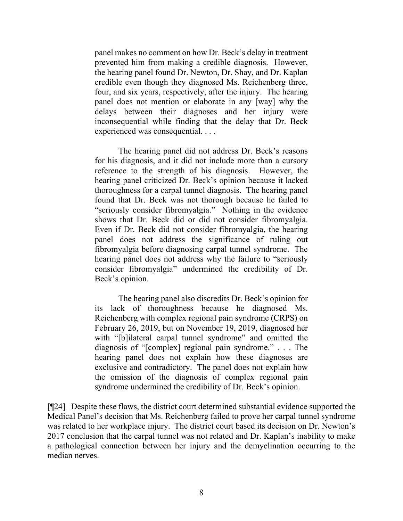panel makes no comment on how Dr. Beck's delay in treatment prevented him from making a credible diagnosis. However, the hearing panel found Dr. Newton, Dr. Shay, and Dr. Kaplan credible even though they diagnosed Ms. Reichenberg three, four, and six years, respectively, after the injury. The hearing panel does not mention or elaborate in any [way] why the delays between their diagnoses and her injury were inconsequential while finding that the delay that Dr. Beck experienced was consequential. . . .

The hearing panel did not address Dr. Beck's reasons for his diagnosis, and it did not include more than a cursory reference to the strength of his diagnosis. However, the hearing panel criticized Dr. Beck's opinion because it lacked thoroughness for a carpal tunnel diagnosis. The hearing panel found that Dr. Beck was not thorough because he failed to "seriously consider fibromyalgia." Nothing in the evidence shows that Dr. Beck did or did not consider fibromyalgia. Even if Dr. Beck did not consider fibromyalgia, the hearing panel does not address the significance of ruling out fibromyalgia before diagnosing carpal tunnel syndrome. The hearing panel does not address why the failure to "seriously consider fibromyalgia" undermined the credibility of Dr. Beck's opinion.

The hearing panel also discredits Dr. Beck's opinion for its lack of thoroughness because he diagnosed Ms. Reichenberg with complex regional pain syndrome (CRPS) on February 26, 2019, but on November 19, 2019, diagnosed her with "[b]ilateral carpal tunnel syndrome" and omitted the diagnosis of "[complex] regional pain syndrome." . . . The hearing panel does not explain how these diagnoses are exclusive and contradictory. The panel does not explain how the omission of the diagnosis of complex regional pain syndrome undermined the credibility of Dr. Beck's opinion.

[¶24] Despite these flaws, the district court determined substantial evidence supported the Medical Panel's decision that Ms. Reichenberg failed to prove her carpal tunnel syndrome was related to her workplace injury. The district court based its decision on Dr. Newton's 2017 conclusion that the carpal tunnel was not related and Dr. Kaplan's inability to make a pathological connection between her injury and the demyelination occurring to the median nerves.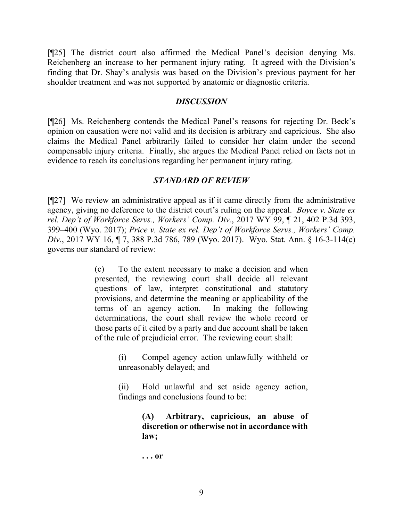[¶25] The district court also affirmed the Medical Panel's decision denying Ms. Reichenberg an increase to her permanent injury rating. It agreed with the Division's finding that Dr. Shay's analysis was based on the Division's previous payment for her shoulder treatment and was not supported by anatomic or diagnostic criteria.

### *DISCUSSION*

[¶26] Ms. Reichenberg contends the Medical Panel's reasons for rejecting Dr. Beck's opinion on causation were not valid and its decision is arbitrary and capricious. She also claims the Medical Panel arbitrarily failed to consider her claim under the second compensable injury criteria. Finally, she argues the Medical Panel relied on facts not in evidence to reach its conclusions regarding her permanent injury rating.

## *STANDARD OF REVIEW*

[¶27] We review an administrative appeal as if it came directly from the administrative agency, giving no deference to the district court's ruling on the appeal. *Boyce v. State ex rel. Dep't of Workforce Servs., Workers' Comp. Div.*, 2017 WY 99, ¶ 21, 402 P.3d 393, 399–400 (Wyo. 2017); *Price v. State ex rel. Dep't of Workforce Servs., Workers' Comp. Div.*, 2017 WY 16, ¶ 7, 388 P.3d 786, 789 (Wyo. 2017). Wyo. Stat. Ann. § 16-3-114(c) governs our standard of review:

> (c) To the extent necessary to make a decision and when presented, the reviewing court shall decide all relevant questions of law, interpret constitutional and statutory provisions, and determine the meaning or applicability of the terms of an agency action. In making the following determinations, the court shall review the whole record or those parts of it cited by a party and due account shall be taken of the rule of prejudicial error. The reviewing court shall:

> > (i) Compel agency action unlawfully withheld or unreasonably delayed; and

> > (ii) Hold unlawful and set aside agency action, findings and conclusions found to be:

> > > **(A) Arbitrary, capricious, an abuse of discretion or otherwise not in accordance with law;**

**. . . or**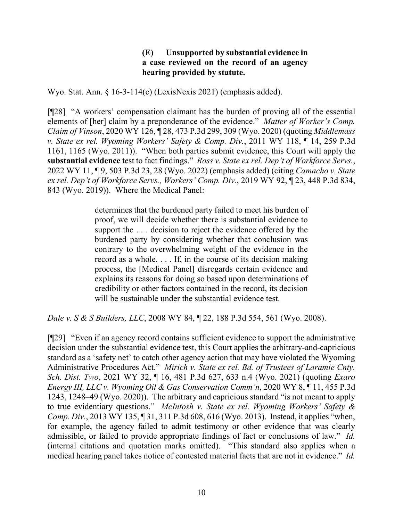## **(E) Unsupported by substantial evidence in a case reviewed on the record of an agency hearing provided by statute.**

Wyo. Stat. Ann. § 16-3-114(c) (LexisNexis 2021) (emphasis added).

[¶28] "A workers' compensation claimant has the burden of proving all of the essential elements of [her] claim by a preponderance of the evidence." *Matter of Worker's Comp. Claim of Vinson*, 2020 WY 126, ¶ 28, 473 P.3d 299, 309 (Wyo. 2020) (quoting *Middlemass v. State ex rel. Wyoming Workers' Safety & Comp. Div.*, 2011 WY 118, ¶ 14, 259 P.3d 1161, 1165 (Wyo. 2011)). "When both parties submit evidence, this Court will apply the **substantial evidence** test to fact findings." *Ross v. State ex rel. Dep't of Workforce Servs.*, 2022 WY 11, ¶ 9, 503 P.3d 23, 28 (Wyo. 2022) (emphasis added) (citing *Camacho v. State ex rel. Dep't of Workforce Servs., Workers' Comp. Div.*, 2019 WY 92, ¶ 23, 448 P.3d 834, 843 (Wyo. 2019)). Where the Medical Panel:

> determines that the burdened party failed to meet his burden of proof, we will decide whether there is substantial evidence to support the . . . decision to reject the evidence offered by the burdened party by considering whether that conclusion was contrary to the overwhelming weight of the evidence in the record as a whole. . . . If, in the course of its decision making process, the [Medical Panel] disregards certain evidence and explains its reasons for doing so based upon determinations of credibility or other factors contained in the record, its decision will be sustainable under the substantial evidence test.

*Dale v. S & S Builders, LLC*, 2008 WY 84, ¶ 22, 188 P.3d 554, 561 (Wyo. 2008).

[¶29] "Even if an agency record contains sufficient evidence to support the administrative decision under the substantial evidence test, this Court applies the arbitrary-and-capricious standard as a 'safety net' to catch other agency action that may have violated the Wyoming Administrative Procedures Act." *Mirich v. State ex rel. Bd. of Trustees of Laramie Cnty. Sch. Dist. Two*, 2021 WY 32, ¶ 16, 481 P.3d 627, 633 n.4 (Wyo. 2021) (quoting *Exaro Energy III, LLC v. Wyoming Oil & Gas Conservation Comm'n*, 2020 WY 8, ¶ 11, 455 P.3d 1243, 1248–49 (Wyo. 2020)). The arbitrary and capricious standard "is not meant to apply to true evidentiary questions." *McIntosh v. State ex rel. Wyoming Workers' Safety & Comp. Div.*, 2013 WY 135, ¶ 31, 311 P.3d 608, 616 (Wyo. 2013). Instead, it applies "when, for example, the agency failed to admit testimony or other evidence that was clearly admissible, or failed to provide appropriate findings of fact or conclusions of law." *Id.*  (internal citations and quotation marks omitted). "This standard also applies when a medical hearing panel takes notice of contested material facts that are not in evidence." *Id.*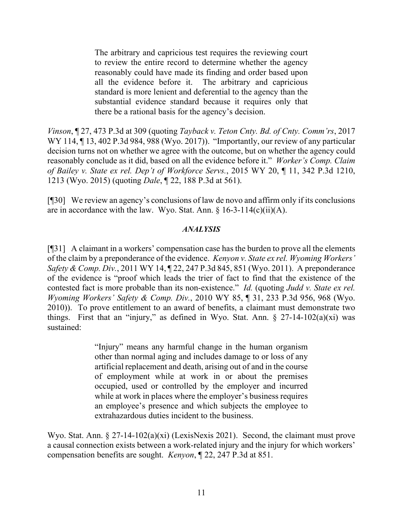The arbitrary and capricious test requires the reviewing court to review the entire record to determine whether the agency reasonably could have made its finding and order based upon all the evidence before it. The arbitrary and capricious standard is more lenient and deferential to the agency than the substantial evidence standard because it requires only that there be a rational basis for the agency's decision.

*Vinson*, ¶ 27, 473 P.3d at 309 (quoting *Tayback v. Teton Cnty. Bd. of Cnty. Comm'rs*, 2017 WY 114, ¶ 13, 402 P.3d 984, 988 (Wyo. 2017)). "Importantly, our review of any particular decision turns not on whether we agree with the outcome, but on whether the agency could reasonably conclude as it did, based on all the evidence before it." *Worker's Comp. Claim of Bailey v. State ex rel. Dep't of Workforce Servs.*, 2015 WY 20, ¶ 11, 342 P.3d 1210, 1213 (Wyo. 2015) (quoting *Dale*, ¶ 22, 188 P.3d at 561).

[¶30] We review an agency's conclusions of law de novo and affirm only if its conclusions are in accordance with the law. Wyo. Stat. Ann.  $\frac{16-3-114(c)(ii)}{A}$ .

### *ANALYSIS*

[¶31] A claimant in a workers' compensation case has the burden to prove all the elements of the claim by a preponderance of the evidence. *Kenyon v. State ex rel. Wyoming Workers' Safety & Comp. Div.*, 2011 WY 14, ¶ 22, 247 P.3d 845, 851 (Wyo. 2011). A preponderance of the evidence is "proof which leads the trier of fact to find that the existence of the contested fact is more probable than its non-existence." *Id.* (quoting *Judd v. State ex rel. Wyoming Workers' Safety & Comp. Div.*, 2010 WY 85, ¶ 31, 233 P.3d 956, 968 (Wyo. 2010)). To prove entitlement to an award of benefits, a claimant must demonstrate two things. First that an "injury," as defined in Wyo. Stat. Ann.  $\S$  27-14-102(a)(xi) was sustained:

> "Injury" means any harmful change in the human organism other than normal aging and includes damage to or loss of any artificial replacement and death, arising out of and in the course of employment while at work in or about the premises occupied, used or controlled by the employer and incurred while at work in places where the employer's business requires an employee's presence and which subjects the employee to extrahazardous duties incident to the business.

Wyo. Stat. Ann. § 27-14-102(a)(xi) (LexisNexis 2021). Second, the claimant must prove a causal connection exists between a work-related injury and the injury for which workers' compensation benefits are sought. *Kenyon*, ¶ 22, 247 P.3d at 851.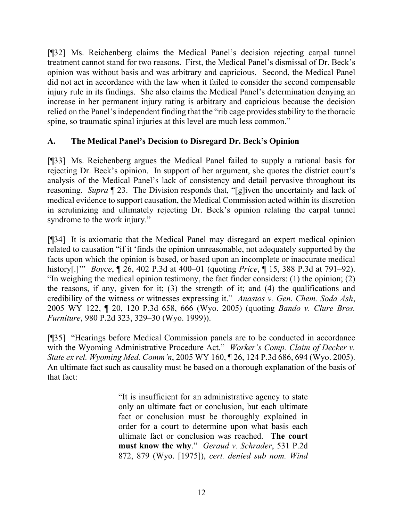[¶32] Ms. Reichenberg claims the Medical Panel's decision rejecting carpal tunnel treatment cannot stand for two reasons. First, the Medical Panel's dismissal of Dr. Beck's opinion was without basis and was arbitrary and capricious. Second, the Medical Panel did not act in accordance with the law when it failed to consider the second compensable injury rule in its findings. She also claims the Medical Panel's determination denying an increase in her permanent injury rating is arbitrary and capricious because the decision relied on the Panel's independent finding that the "rib cage provides stability to the thoracic spine, so traumatic spinal injuries at this level are much less common."

# **A. The Medical Panel's Decision to Disregard Dr. Beck's Opinion**

[¶33] Ms. Reichenberg argues the Medical Panel failed to supply a rational basis for rejecting Dr. Beck's opinion. In support of her argument, she quotes the district court's analysis of the Medical Panel's lack of consistency and detail pervasive throughout its reasoning. *Supra* ¶ 23. The Division responds that, "[g]iven the uncertainty and lack of medical evidence to support causation, the Medical Commission acted within its discretion in scrutinizing and ultimately rejecting Dr. Beck's opinion relating the carpal tunnel syndrome to the work injury."

[¶34] It is axiomatic that the Medical Panel may disregard an expert medical opinion related to causation "if it 'finds the opinion unreasonable, not adequately supported by the facts upon which the opinion is based, or based upon an incomplete or inaccurate medical history[.]'" *Boyce*, ¶ 26, 402 P.3d at 400–01 (quoting *Price*, ¶ 15, 388 P.3d at 791–92). "In weighing the medical opinion testimony, the fact finder considers: (1) the opinion; (2) the reasons, if any, given for it; (3) the strength of it; and (4) the qualifications and credibility of the witness or witnesses expressing it." *Anastos v. Gen. Chem. Soda Ash*, 2005 WY 122, ¶ 20, 120 P.3d 658, 666 (Wyo. 2005) (quoting *Bando v. Clure Bros. Furniture*, 980 P.2d 323, 329–30 (Wyo. 1999)).

[¶35] "Hearings before Medical Commission panels are to be conducted in accordance with the Wyoming Administrative Procedure Act." *Worker's Comp. Claim of Decker v. State ex rel. Wyoming Med. Comm'n*, 2005 WY 160, ¶ 26, 124 P.3d 686, 694 (Wyo. 2005). An ultimate fact such as causality must be based on a thorough explanation of the basis of that fact:

> "It is insufficient for an administrative agency to state only an ultimate fact or conclusion, but each ultimate fact or conclusion must be thoroughly explained in order for a court to determine upon what basis each ultimate fact or conclusion was reached. **The court must know the why**." *Geraud v. Schrader*, 531 P.2d 872, 879 (Wyo. [1975]), *cert. denied sub nom. Wind*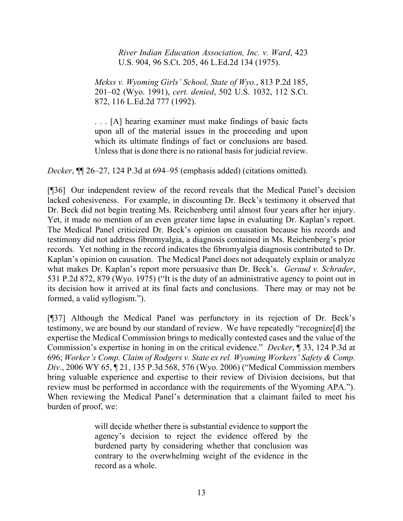*River Indian Education Association, Inc. v. Ward*, 423 U.S. 904, 96 S.Ct. 205, 46 L.Ed.2d 134 (1975).

*Mekss v. Wyoming Girls' School, State of Wyo.*, 813 P.2d 185, 201–02 (Wyo. 1991), *cert. denied*, 502 U.S. 1032, 112 S.Ct. 872, 116 L.Ed.2d 777 (1992).

. . . [A] hearing examiner must make findings of basic facts upon all of the material issues in the proceeding and upon which its ultimate findings of fact or conclusions are based. Unless that is done there is no rational basis for judicial review.

*Decker*, ¶¶ 26–27, 124 P.3d at 694–95 (emphasis added) (citations omitted).

[¶36] Our independent review of the record reveals that the Medical Panel's decision lacked cohesiveness. For example, in discounting Dr. Beck's testimony it observed that Dr. Beck did not begin treating Ms. Reichenberg until almost four years after her injury. Yet, it made no mention of an even greater time lapse in evaluating Dr. Kaplan's report. The Medical Panel criticized Dr. Beck's opinion on causation because his records and testimony did not address fibromyalgia, a diagnosis contained in Ms. Reichenberg's prior records. Yet nothing in the record indicates the fibromyalgia diagnosis contributed to Dr. Kaplan's opinion on causation. The Medical Panel does not adequately explain or analyze what makes Dr. Kaplan's report more persuasive than Dr. Beck's. *Geraud v. Schrader*, 531 P.2d 872, 879 (Wyo. 1975) ("It is the duty of an administrative agency to point out in its decision how it arrived at its final facts and conclusions. There may or may not be formed, a valid syllogism.").

[¶37] Although the Medical Panel was perfunctory in its rejection of Dr. Beck's testimony, we are bound by our standard of review. We have repeatedly "recognize[d] the expertise the Medical Commission brings to medically contested cases and the value of the Commission's expertise in honing in on the critical evidence." *Decker*, ¶ 33, 124 P.3d at 696; *Worker's Comp. Claim of Rodgers v. State ex rel. Wyoming Workers' Safety & Comp. Div.*, 2006 WY 65, ¶ 21, 135 P.3d 568, 576 (Wyo. 2006) ("Medical Commission members bring valuable experience and expertise to their review of Division decisions, but that review must be performed in accordance with the requirements of the Wyoming APA."). When reviewing the Medical Panel's determination that a claimant failed to meet his burden of proof, we:

> will decide whether there is substantial evidence to support the agency's decision to reject the evidence offered by the burdened party by considering whether that conclusion was contrary to the overwhelming weight of the evidence in the record as a whole.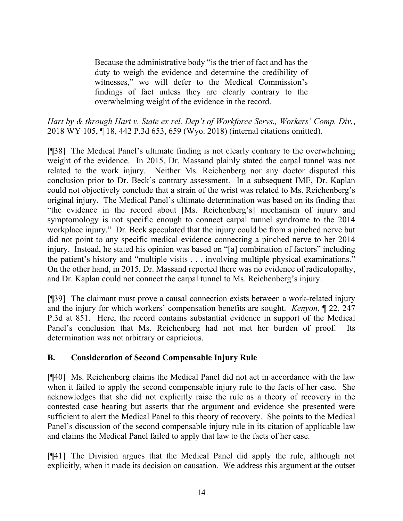Because the administrative body "is the trier of fact and has the duty to weigh the evidence and determine the credibility of witnesses," we will defer to the Medical Commission's findings of fact unless they are clearly contrary to the overwhelming weight of the evidence in the record.

*Hart by & through Hart v. State ex rel. Dep't of Workforce Servs., Workers' Comp. Div.*, 2018 WY 105, ¶ 18, 442 P.3d 653, 659 (Wyo. 2018) (internal citations omitted).

[¶38] The Medical Panel's ultimate finding is not clearly contrary to the overwhelming weight of the evidence. In 2015, Dr. Massand plainly stated the carpal tunnel was not related to the work injury. Neither Ms. Reichenberg nor any doctor disputed this conclusion prior to Dr. Beck's contrary assessment. In a subsequent IME, Dr. Kaplan could not objectively conclude that a strain of the wrist was related to Ms. Reichenberg's original injury. The Medical Panel's ultimate determination was based on its finding that "the evidence in the record about [Ms. Reichenberg's] mechanism of injury and symptomology is not specific enough to connect carpal tunnel syndrome to the 2014 workplace injury." Dr. Beck speculated that the injury could be from a pinched nerve but did not point to any specific medical evidence connecting a pinched nerve to her 2014 injury. Instead, he stated his opinion was based on "[a] combination of factors" including the patient's history and "multiple visits . . . involving multiple physical examinations." On the other hand, in 2015, Dr. Massand reported there was no evidence of radiculopathy, and Dr. Kaplan could not connect the carpal tunnel to Ms. Reichenberg's injury.

[¶39] The claimant must prove a causal connection exists between a work-related injury and the injury for which workers' compensation benefits are sought. *Kenyon*, ¶ 22, 247 P.3d at 851. Here, the record contains substantial evidence in support of the Medical Panel's conclusion that Ms. Reichenberg had not met her burden of proof. Its determination was not arbitrary or capricious.

# **B. Consideration of Second Compensable Injury Rule**

[¶40] Ms. Reichenberg claims the Medical Panel did not act in accordance with the law when it failed to apply the second compensable injury rule to the facts of her case. She acknowledges that she did not explicitly raise the rule as a theory of recovery in the contested case hearing but asserts that the argument and evidence she presented were sufficient to alert the Medical Panel to this theory of recovery. She points to the Medical Panel's discussion of the second compensable injury rule in its citation of applicable law and claims the Medical Panel failed to apply that law to the facts of her case.

[¶41] The Division argues that the Medical Panel did apply the rule, although not explicitly, when it made its decision on causation. We address this argument at the outset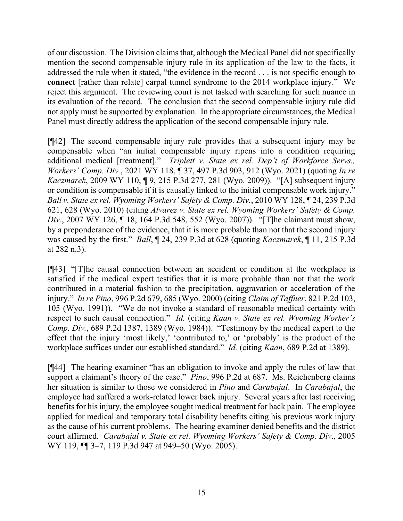of our discussion. The Division claims that, although the Medical Panel did not specifically mention the second compensable injury rule in its application of the law to the facts, it addressed the rule when it stated, "the evidence in the record . . . is not specific enough to **connect** [rather than relate] carpal tunnel syndrome to the 2014 workplace injury." We reject this argument. The reviewing court is not tasked with searching for such nuance in its evaluation of the record. The conclusion that the second compensable injury rule did not apply must be supported by explanation. In the appropriate circumstances, the Medical Panel must directly address the application of the second compensable injury rule.

[¶42] The second compensable injury rule provides that a subsequent injury may be compensable when "an initial compensable injury ripens into a condition requiring additional medical [treatment]." *Triplett v. State ex rel. Dep't of Workforce Servs., Workers' Comp. Div.*, 2021 WY 118, ¶ 37, 497 P.3d 903, 912 (Wyo. 2021) (quoting *In re Kaczmarek*, 2009 WY 110, ¶ 9, 215 P.3d 277, 281 (Wyo. 2009)). "[A] subsequent injury or condition is compensable if it is causally linked to the initial compensable work injury." *Ball v. State ex rel. Wyoming Workers' Safety & Comp. Div.*, 2010 WY 128, ¶ 24, 239 P.3d 621, 628 (Wyo. 2010) (citing *Alvarez v. State ex rel. Wyoming Workers' Safety & Comp. Div.*, 2007 WY 126, ¶ 18, 164 P.3d 548, 552 (Wyo. 2007)). "[T]he claimant must show, by a preponderance of the evidence, that it is more probable than not that the second injury was caused by the first." *Ball*, ¶ 24, 239 P.3d at 628 (quoting *Kaczmarek*, ¶ 11, 215 P.3d at 282 n.3).

[¶43] "[T]he causal connection between an accident or condition at the workplace is satisfied if the medical expert testifies that it is more probable than not that the work contributed in a material fashion to the precipitation, aggravation or acceleration of the injury." *In re Pino*, 996 P.2d 679, 685 (Wyo. 2000) (citing *Claim of Taffner*, 821 P.2d 103, 105 (Wyo. 1991)). "We do not invoke a standard of reasonable medical certainty with respect to such causal connection." *Id.* (citing *Kaan v. State ex rel. Wyoming Worker's Comp. Div.*, 689 P.2d 1387, 1389 (Wyo. 1984)). "Testimony by the medical expert to the effect that the injury 'most likely,' 'contributed to,' or 'probably' is the product of the workplace suffices under our established standard." *Id.* (citing *Kaan*, 689 P.2d at 1389).

[¶44] The hearing examiner "has an obligation to invoke and apply the rules of law that support a claimant's theory of the case." *Pino*, 996 P.2d at 687. Ms. Reichenberg claims her situation is similar to those we considered in *Pino* and *Carabajal*. In *Carabajal*, the employee had suffered a work-related lower back injury. Several years after last receiving benefits for his injury, the employee sought medical treatment for back pain. The employee applied for medical and temporary total disability benefits citing his previous work injury as the cause of his current problems. The hearing examiner denied benefits and the district court affirmed. *Carabajal v. State ex rel. Wyoming Workers' Safety & Comp. Div*., 2005 WY 119,  $\P$  3–7, 119 P.3d 947 at 949–50 (Wyo. 2005).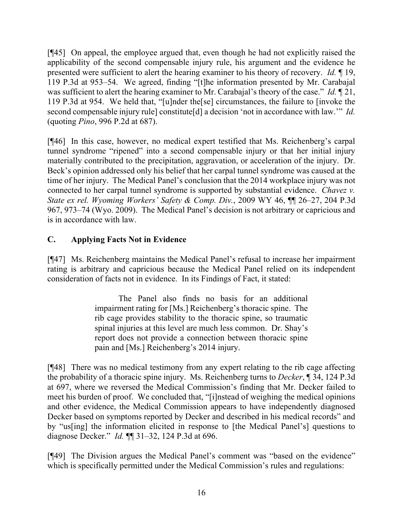[¶45] On appeal, the employee argued that, even though he had not explicitly raised the applicability of the second compensable injury rule, his argument and the evidence he presented were sufficient to alert the hearing examiner to his theory of recovery. *Id.* ¶ 19, 119 P.3d at 953–54. We agreed, finding "[t]he information presented by Mr. Carabajal was sufficient to alert the hearing examiner to Mr. Carabajal's theory of the case." *Id.* ¶ 21, 119 P.3d at 954. We held that, "[u]nder the[se] circumstances, the failure to [invoke the second compensable injury rule] constitute[d] a decision 'not in accordance with law.'" *Id.* (quoting *Pino*, 996 P.2d at 687).

[¶46] In this case, however, no medical expert testified that Ms. Reichenberg's carpal tunnel syndrome "ripened" into a second compensable injury or that her initial injury materially contributed to the precipitation, aggravation, or acceleration of the injury. Dr. Beck's opinion addressed only his belief that her carpal tunnel syndrome was caused at the time of her injury. The Medical Panel's conclusion that the 2014 workplace injury was not connected to her carpal tunnel syndrome is supported by substantial evidence. *Chavez v. State ex rel. Wyoming Workers' Safety & Comp. Div.*, 2009 WY 46, ¶¶ 26–27, 204 P.3d 967, 973–74 (Wyo. 2009). The Medical Panel's decision is not arbitrary or capricious and is in accordance with law.

# **C. Applying Facts Not in Evidence**

[¶47] Ms. Reichenberg maintains the Medical Panel's refusal to increase her impairment rating is arbitrary and capricious because the Medical Panel relied on its independent consideration of facts not in evidence. In its Findings of Fact, it stated:

> The Panel also finds no basis for an additional impairment rating for [Ms.] Reichenberg's thoracic spine. The rib cage provides stability to the thoracic spine, so traumatic spinal injuries at this level are much less common. Dr. Shay's report does not provide a connection between thoracic spine pain and [Ms.] Reichenberg's 2014 injury.

[¶48] There was no medical testimony from any expert relating to the rib cage affecting the probability of a thoracic spine injury. Ms. Reichenberg turns to *Decker*, ¶ 34, 124 P.3d at 697, where we reversed the Medical Commission's finding that Mr. Decker failed to meet his burden of proof. We concluded that, "[i]nstead of weighing the medical opinions and other evidence, the Medical Commission appears to have independently diagnosed Decker based on symptoms reported by Decker and described in his medical records" and by "us[ing] the information elicited in response to [the Medical Panel's] questions to diagnose Decker." *Id.* ¶¶ 31–32, 124 P.3d at 696.

[¶49] The Division argues the Medical Panel's comment was "based on the evidence" which is specifically permitted under the Medical Commission's rules and regulations: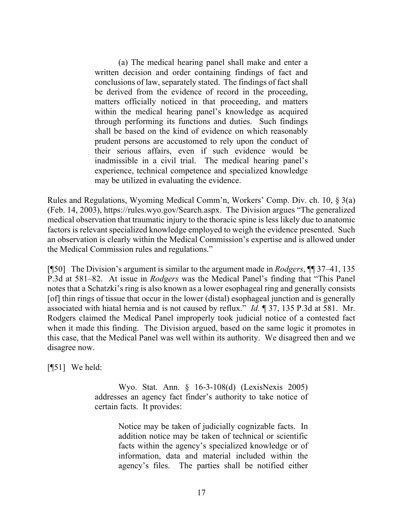(a) The medical hearing panel shall make and enter a written decision and order containing findings of fact and conclusions of law, separately stated. The findings of fact shall be derived from the evidence of record in the proceeding, matters officially noticed in that proceeding, and matters within the medical hearing panel's knowledge as acquired through performing its functions and duties. Such findings shall be based on the kind of evidence on which reasonably prudent persons are accustomed to rely upon the conduct of their serious affairs, even if such evidence would be inadmissible in a civil trial. The medical hearing panel's experience, technical competence and specialized knowledge may be utilized in evaluating the evidence.

Rules and Regulations, Wyoming Medical Comm'n, Workers' Comp. Div. ch. 10, § 3(a) (Feb. 14, 2003), https://rules.wyo.gov/Search.aspx. The Division argues "The generalized medical observation that traumatic injury to the thoracic spine is less likely due to anatomic factors is relevant specialized knowledge employed to weigh the evidence presented. Such an observation is clearly within the Medical Commission's expertise and is allowed under the Medical Commission rules and regulations."

[¶50] The Division's argument is similar to the argument made in *Rodgers*, ¶¶ 37–41, 135 P.3d at 581–82. At issue in *Rodgers* was the Medical Panel's finding that "This Panel notes that a Schatzki's ring is also known as a lower esophageal ring and generally consists [of] thin rings of tissue that occur in the lower (distal) esophageal junction and is generally associated with hiatal hernia and is not caused by reflux." *Id.* ¶ 37, 135 P.3d at 581. Mr. Rodgers claimed the Medical Panel improperly took judicial notice of a contested fact when it made this finding. The Division argued, based on the same logic it promotes in this case, that the Medical Panel was well within its authority. We disagreed then and we disagree now.

[¶51] We held:

Wyo. Stat. Ann. § 16-3-108(d) (LexisNexis 2005) addresses an agency fact finder's authority to take notice of certain facts. It provides:

> Notice may be taken of judicially cognizable facts. In addition notice may be taken of technical or scientific facts within the agency's specialized knowledge or of information, data and material included within the agency's files. The parties shall be notified either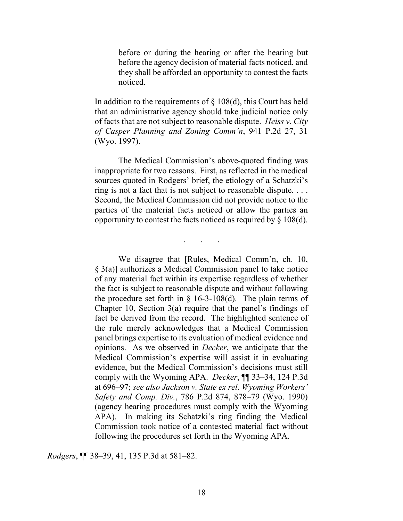before or during the hearing or after the hearing but before the agency decision of material facts noticed, and they shall be afforded an opportunity to contest the facts noticed.

In addition to the requirements of  $\S$  108(d), this Court has held that an administrative agency should take judicial notice only of facts that are not subject to reasonable dispute. *Heiss v. City of Casper Planning and Zoning Comm'n*, 941 P.2d 27, 31 (Wyo. 1997).

The Medical Commission's above-quoted finding was inappropriate for two reasons. First, as reflected in the medical sources quoted in Rodgers' brief, the etiology of a Schatzki's ring is not a fact that is not subject to reasonable dispute. . . . Second, the Medical Commission did not provide notice to the parties of the material facts noticed or allow the parties an opportunity to contest the facts noticed as required by  $\S 108(d)$ .

 $\overline{\phantom{a}}$ .

We disagree that [Rules, Medical Comm'n, ch. 10, § 3(a)] authorizes a Medical Commission panel to take notice of any material fact within its expertise regardless of whether the fact is subject to reasonable dispute and without following the procedure set forth in  $\S$  16-3-108(d). The plain terms of Chapter 10, Section 3(a) require that the panel's findings of fact be derived from the record. The highlighted sentence of the rule merely acknowledges that a Medical Commission panel brings expertise to its evaluation of medical evidence and opinions. As we observed in *Decker*, we anticipate that the Medical Commission's expertise will assist it in evaluating evidence, but the Medical Commission's decisions must still comply with the Wyoming APA. *Decker*, ¶¶ 33–34, 124 P.3d at 696–97; *see also Jackson v. State ex rel. Wyoming Workers' Safety and Comp. Div.*, 786 P.2d 874, 878–79 (Wyo. 1990) (agency hearing procedures must comply with the Wyoming APA). In making its Schatzki's ring finding the Medical Commission took notice of a contested material fact without following the procedures set forth in the Wyoming APA.

*Rodgers*, ¶¶ 38–39, 41, 135 P.3d at 581–82.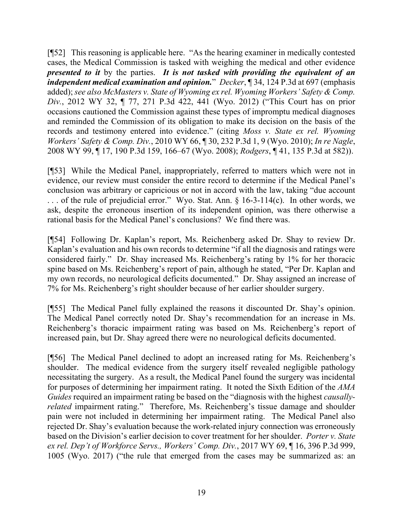[¶52] This reasoning is applicable here. "As the hearing examiner in medically contested cases, the Medical Commission is tasked with weighing the medical and other evidence *presented to it* by the parties. *It is not tasked with providing the equivalent of an independent medical examination and opinion.*" *Decker*, 134, 124 P.3d at 697 (emphasis added); *see also McMasters v. State of Wyoming ex rel. Wyoming Workers' Safety & Comp. Div.*, 2012 WY 32, ¶ 77, 271 P.3d 422, 441 (Wyo. 2012) ("This Court has on prior occasions cautioned the Commission against these types of impromptu medical diagnoses and reminded the Commission of its obligation to make its decision on the basis of the records and testimony entered into evidence." (citing *Moss v. State ex rel. Wyoming Workers' Safety & Comp. Div.*, 2010 WY 66, ¶ 30, 232 P.3d 1, 9 (Wyo. 2010); *In re Nagle*, 2008 WY 99, ¶ 17, 190 P.3d 159, 166–67 (Wyo. 2008); *Rodgers*, ¶ 41, 135 P.3d at 582)).

[¶53] While the Medical Panel, inappropriately, referred to matters which were not in evidence, our review must consider the entire record to determine if the Medical Panel's conclusion was arbitrary or capricious or not in accord with the law, taking "due account . . . of the rule of prejudicial error." Wyo. Stat. Ann. § 16-3-114(c). In other words, we ask, despite the erroneous insertion of its independent opinion, was there otherwise a rational basis for the Medical Panel's conclusions? We find there was.

[¶54] Following Dr. Kaplan's report, Ms. Reichenberg asked Dr. Shay to review Dr. Kaplan's evaluation and his own records to determine "if all the diagnosis and ratings were considered fairly." Dr. Shay increased Ms. Reichenberg's rating by 1% for her thoracic spine based on Ms. Reichenberg's report of pain, although he stated, "Per Dr. Kaplan and my own records, no neurological deficits documented." Dr. Shay assigned an increase of 7% for Ms. Reichenberg's right shoulder because of her earlier shoulder surgery.

[¶55] The Medical Panel fully explained the reasons it discounted Dr. Shay's opinion. The Medical Panel correctly noted Dr. Shay's recommendation for an increase in Ms. Reichenberg's thoracic impairment rating was based on Ms. Reichenberg's report of increased pain, but Dr. Shay agreed there were no neurological deficits documented.

[¶56] The Medical Panel declined to adopt an increased rating for Ms. Reichenberg's shoulder. The medical evidence from the surgery itself revealed negligible pathology necessitating the surgery. As a result, the Medical Panel found the surgery was incidental for purposes of determining her impairment rating. It noted the Sixth Edition of the *AMA Guides* required an impairment rating be based on the "diagnosis with the highest *causallyrelated* impairment rating." Therefore, Ms. Reichenberg's tissue damage and shoulder pain were not included in determining her impairment rating. The Medical Panel also rejected Dr. Shay's evaluation because the work-related injury connection was erroneously based on the Division's earlier decision to cover treatment for her shoulder. *Porter v. State ex rel. Dep't of Workforce Servs., Workers' Comp. Div.*, 2017 WY 69, ¶ 16, 396 P.3d 999, 1005 (Wyo. 2017) ("the rule that emerged from the cases may be summarized as: an